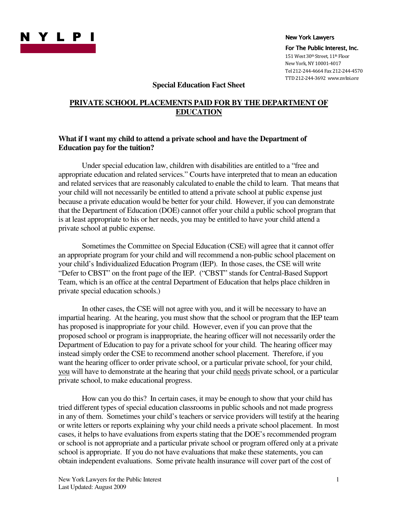

For The Public Interest, Inc. 151 West 30th Street, 11th Floor New York, NY 10001-4017 Tel 212-244-4664 Fax 212-244-4570

TTD 212-244-3692 www.nylpi.org

## **Special Education Fact Sheet**

# **PRIVATE SCHOOL PLACEMENTS PAID FOR BY THE DEPARTMENT OF EDUCATION**

# **What if I want my child to attend a private school and have the Department of Education pay for the tuition?**

Under special education law, children with disabilities are entitled to a "free and appropriate education and related services." Courts have interpreted that to mean an education and related services that are reasonably calculated to enable the child to learn. That means that your child will not necessarily be entitled to attend a private school at public expense just because a private education would be better for your child. However, if you can demonstrate that the Department of Education (DOE) cannot offer your child a public school program that is at least appropriate to his or her needs, you may be entitled to have your child attend a private school at public expense.

Sometimes the Committee on Special Education (CSE) will agree that it cannot offer an appropriate program for your child and will recommend a non-public school placement on your child's Individualized Education Program (IEP). In those cases, the CSE will write "Defer to CBST" on the front page of the IEP. ("CBST" stands for Central-Based Support Team, which is an office at the central Department of Education that helps place children in private special education schools.)

In other cases, the CSE will not agree with you, and it will be necessary to have an impartial hearing. At the hearing, you must show that the school or program that the IEP team has proposed is inappropriate for your child. However, even if you can prove that the proposed school or program is inappropriate, the hearing officer will not necessarily order the Department of Education to pay for a private school for your child. The hearing officer may instead simply order the CSE to recommend another school placement. Therefore, if you want the hearing officer to order private school, or a particular private school, for your child, you will have to demonstrate at the hearing that your child needs private school, or a particular private school, to make educational progress.

How can you do this? In certain cases, it may be enough to show that your child has tried different types of special education classrooms in public schools and not made progress in any of them. Sometimes your child's teachers or service providers will testify at the hearing or write letters or reports explaining why your child needs a private school placement. In most cases, it helps to have evaluations from experts stating that the DOE's recommended program or school is not appropriate and a particular private school or program offered only at a private school is appropriate. If you do not have evaluations that make these statements, you can obtain independent evaluations. Some private health insurance will cover part of the cost of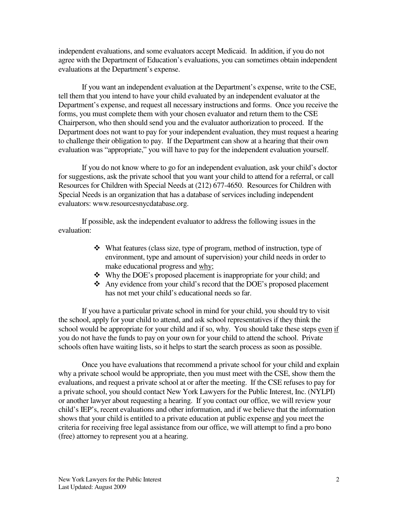independent evaluations, and some evaluators accept Medicaid. In addition, if you do not agree with the Department of Education's evaluations, you can sometimes obtain independent evaluations at the Department's expense.

If you want an independent evaluation at the Department's expense, write to the CSE, tell them that you intend to have your child evaluated by an independent evaluator at the Department's expense, and request all necessary instructions and forms. Once you receive the forms, you must complete them with your chosen evaluator and return them to the CSE Chairperson, who then should send you and the evaluator authorization to proceed. If the Department does not want to pay for your independent evaluation, they must request a hearing to challenge their obligation to pay. If the Department can show at a hearing that their own evaluation was "appropriate," you will have to pay for the independent evaluation yourself.

If you do not know where to go for an independent evaluation, ask your child's doctor for suggestions, ask the private school that you want your child to attend for a referral, or call Resources for Children with Special Needs at (212) 677-4650. Resources for Children with Special Needs is an organization that has a database of services including independent evaluators: www.resourcesnycdatabase.org.

If possible, ask the independent evaluator to address the following issues in the evaluation:

- What features (class size, type of program, method of instruction, type of environment, type and amount of supervision) your child needs in order to make educational progress and why;
- Why the DOE's proposed placement is inappropriate for your child; and
- Any evidence from your child's record that the DOE's proposed placement has not met your child's educational needs so far.

If you have a particular private school in mind for your child, you should try to visit the school, apply for your child to attend, and ask school representatives if they think the school would be appropriate for your child and if so, why. You should take these steps even if you do not have the funds to pay on your own for your child to attend the school. Private schools often have waiting lists, so it helps to start the search process as soon as possible.

Once you have evaluations that recommend a private school for your child and explain why a private school would be appropriate, then you must meet with the CSE, show them the evaluations, and request a private school at or after the meeting. If the CSE refuses to pay for a private school, you should contact New York Lawyers for the Public Interest, Inc. (NYLPI) or another lawyer about requesting a hearing. If you contact our office, we will review your child's IEP's, recent evaluations and other information, and if we believe that the information shows that your child is entitled to a private education at public expense and you meet the criteria for receiving free legal assistance from our office, we will attempt to find a pro bono (free) attorney to represent you at a hearing.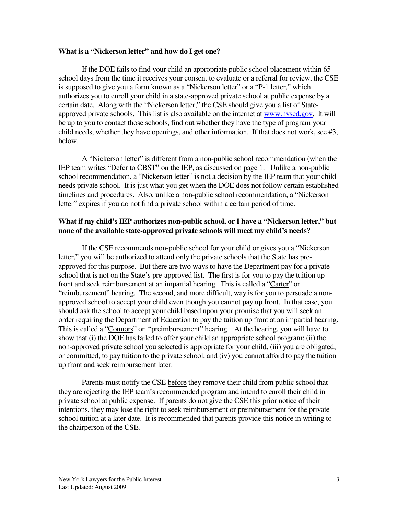### **What is a "Nickerson letter" and how do I get one?**

If the DOE fails to find your child an appropriate public school placement within 65 school days from the time it receives your consent to evaluate or a referral for review, the CSE is supposed to give you a form known as a "Nickerson letter" or a "P-1 letter," which authorizes you to enroll your child in a state-approved private school at public expense by a certain date. Along with the "Nickerson letter," the CSE should give you a list of Stateapproved private schools. This list is also available on the internet at www.nysed.gov. It will be up to you to contact those schools, find out whether they have the type of program your child needs, whether they have openings, and other information. If that does not work, see #3, below.

A "Nickerson letter" is different from a non-public school recommendation (when the IEP team writes "Defer to CBST" on the IEP, as discussed on page 1. Unlike a non-public school recommendation, a "Nickerson letter" is not a decision by the IEP team that your child needs private school. It is just what you get when the DOE does not follow certain established timelines and procedures. Also, unlike a non-public school recommendation, a "Nickerson letter" expires if you do not find a private school within a certain period of time.

# **What if my child's IEP authorizes non-public school, or I have a "Nickerson letter," but none of the available state-approved private schools will meet my child's needs?**

If the CSE recommends non-public school for your child or gives you a "Nickerson letter," you will be authorized to attend only the private schools that the State has preapproved for this purpose. But there are two ways to have the Department pay for a private school that is not on the State's pre-approved list. The first is for you to pay the tuition up front and seek reimbursement at an impartial hearing. This is called a "Carter" or "reimbursement" hearing. The second, and more difficult, way is for you to persuade a nonapproved school to accept your child even though you cannot pay up front. In that case, you should ask the school to accept your child based upon your promise that you will seek an order requiring the Department of Education to pay the tuition up front at an impartial hearing. This is called a "Connors" or "preimbursement" hearing. At the hearing, you will have to show that (i) the DOE has failed to offer your child an appropriate school program; (ii) the non-approved private school you selected is appropriate for your child, (iii) you are obligated, or committed, to pay tuition to the private school, and (iv) you cannot afford to pay the tuition up front and seek reimbursement later.

Parents must notify the CSE before they remove their child from public school that they are rejecting the IEP team's recommended program and intend to enroll their child in private school at public expense. If parents do not give the CSE this prior notice of their intentions, they may lose the right to seek reimbursement or preimbursement for the private school tuition at a later date. It is recommended that parents provide this notice in writing to the chairperson of the CSE.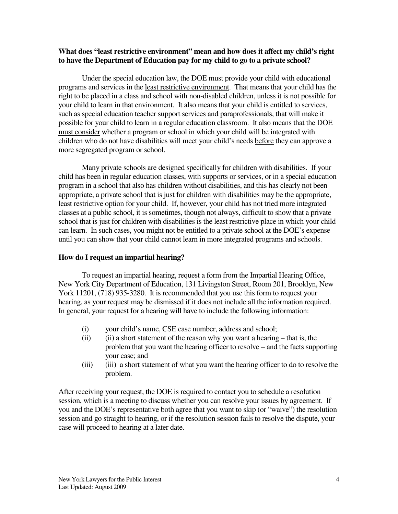# **What does "least restrictive environment" mean and how does it affect my child's right to have the Department of Education pay for my child to go to a private school?**

Under the special education law, the DOE must provide your child with educational programs and services in the least restrictive environment. That means that your child has the right to be placed in a class and school with non-disabled children, unless it is not possible for your child to learn in that environment. It also means that your child is entitled to services, such as special education teacher support services and paraprofessionals, that will make it possible for your child to learn in a regular education classroom. It also means that the DOE must consider whether a program or school in which your child will be integrated with children who do not have disabilities will meet your child's needs before they can approve a more segregated program or school.

Many private schools are designed specifically for children with disabilities. If your child has been in regular education classes, with supports or services, or in a special education program in a school that also has children without disabilities, and this has clearly not been appropriate, a private school that is just for children with disabilities may be the appropriate, least restrictive option for your child. If, however, your child has not tried more integrated classes at a public school, it is sometimes, though not always, difficult to show that a private school that is just for children with disabilities is the least restrictive place in which your child can learn. In such cases, you might not be entitled to a private school at the DOE's expense until you can show that your child cannot learn in more integrated programs and schools.

# **How do I request an impartial hearing?**

To request an impartial hearing, request a form from the Impartial Hearing Office, New York City Department of Education, 131 Livingston Street, Room 201, Brooklyn, New York 11201, (718) 935-3280. It is recommended that you use this form to request your hearing, as your request may be dismissed if it does not include all the information required. In general, your request for a hearing will have to include the following information:

- (i) your child's name, CSE case number, address and school;
- (ii) (ii) a short statement of the reason why you want a hearing that is, the problem that you want the hearing officer to resolve – and the facts supporting your case; and
- (iii) (iii) a short statement of what you want the hearing officer to do to resolve the problem.

After receiving your request, the DOE is required to contact you to schedule a resolution session, which is a meeting to discuss whether you can resolve your issues by agreement. If you and the DOE's representative both agree that you want to skip (or "waive") the resolution session and go straight to hearing, or if the resolution session fails to resolve the dispute, your case will proceed to hearing at a later date.